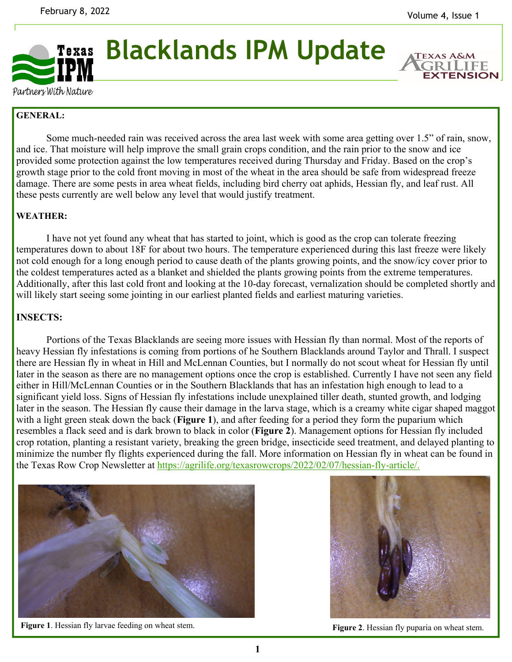

**Blacklands IPM Update** 

**EXTENSION** 

Partners With Nature

## **GENERAL:**

Some much-needed rain was received across the area last week with some area getting over 1.5" of rain, snow, and ice. That moisture will help improve the small grain crops condition, and the rain prior to the snow and ice provided some protection against the low temperatures received during Thursday and Friday. Based on the crop's growth stage prior to the cold front moving in most of the wheat in the area should be safe from widespread freeze damage. There are some pests in area wheat fields, including bird cherry oat aphids, Hessian fly, and leaf rust. All these pests currently are well below any level that would justify treatment.

## **WEATHER:**

 I have not yet found any wheat that has started to joint, which is good as the crop can tolerate freezing temperatures down to about 18F for about two hours. The temperature experienced during this last freeze were likely not cold enough for a long enough period to cause death of the plants growing points, and the snow/icy cover prior to the coldest temperatures acted as a blanket and shielded the plants growing points from the extreme temperatures. Additionally, after this last cold front and looking at the 10-day forecast, vernalization should be completed shortly and will likely start seeing some jointing in our earliest planted fields and earliest maturing varieties.

## **INSECTS:**

Portions of the Texas Blacklands are seeing more issues with Hessian fly than normal. Most of the reports of heavy Hessian fly infestations is coming from portions of he Southern Blacklands around Taylor and Thrall. I suspect there are Hessian fly in wheat in Hill and McLennan Counties, but I normally do not scout wheat for Hessian fly until later in the season as there are no management options once the crop is established. Currently I have not seen any field either in Hill/McLennan Counties or in the Southern Blacklands that has an infestation high enough to lead to a significant yield loss. Signs of Hessian fly infestations include unexplained tiller death, stunted growth, and lodging later in the season. The Hessian fly cause their damage in the larva stage, which is a creamy white cigar shaped maggot with a light green steak down the back (**Figure 1**), and after feeding for a period they form the puparium which resembles a flack seed and is dark brown to black in color (**Figure 2**). Management options for Hessian fly included crop rotation, planting a resistant variety, breaking the green bridge, insecticide seed treatment, and delayed planting to minimize the number fly flights experienced during the fall. More information on Hessian fly in wheat can be found in the Texas Row Crop Newsletter at https://agrilife.org/texasrowcrops/2022/02/07/hessian-fly-article/.



Figure 1. Hessian fly larvae feeding on wheat stem. **Figure 2**. Hessian fly puparia on wheat stem.

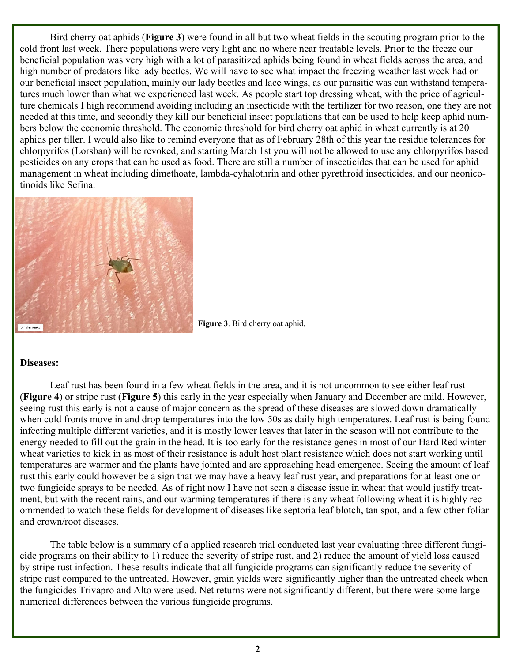Bird cherry oat aphids (**Figure 3**) were found in all but two wheat fields in the scouting program prior to the cold front last week. There populations were very light and no where near treatable levels. Prior to the freeze our beneficial population was very high with a lot of parasitized aphids being found in wheat fields across the area, and high number of predators like lady beetles. We will have to see what impact the freezing weather last week had on our beneficial insect population, mainly our lady beetles and lace wings, as our parasitic was can withstand temperatures much lower than what we experienced last week. As people start top dressing wheat, with the price of agriculture chemicals I high recommend avoiding including an insecticide with the fertilizer for two reason, one they are not needed at this time, and secondly they kill our beneficial insect populations that can be used to help keep aphid numbers below the economic threshold. The economic threshold for bird cherry oat aphid in wheat currently is at 20 aphids per tiller. I would also like to remind everyone that as of February 28th of this year the residue tolerances for chlorpyrifos (Lorsban) will be revoked, and starting March 1st you will not be allowed to use any chlorpyrifos based pesticides on any crops that can be used as food. There are still a number of insecticides that can be used for aphid management in wheat including dimethoate, lambda-cyhalothrin and other pyrethroid insecticides, and our neonicotinoids like Sefina.



**Figure 3**. Bird cherry oat aphid.

## **Diseases:**

Leaf rust has been found in a few wheat fields in the area, and it is not uncommon to see either leaf rust (**Figure 4**) or stripe rust (**Figure 5**) this early in the year especially when January and December are mild. However, seeing rust this early is not a cause of major concern as the spread of these diseases are slowed down dramatically when cold fronts move in and drop temperatures into the low 50s as daily high temperatures. Leaf rust is being found infecting multiple different varieties, and it is mostly lower leaves that later in the season will not contribute to the energy needed to fill out the grain in the head. It is too early for the resistance genes in most of our Hard Red winter wheat varieties to kick in as most of their resistance is adult host plant resistance which does not start working until temperatures are warmer and the plants have jointed and are approaching head emergence. Seeing the amount of leaf rust this early could however be a sign that we may have a heavy leaf rust year, and preparations for at least one or two fungicide sprays to be needed. As of right now I have not seen a disease issue in wheat that would justify treatment, but with the recent rains, and our warming temperatures if there is any wheat following wheat it is highly recommended to watch these fields for development of diseases like septoria leaf blotch, tan spot, and a few other foliar and crown/root diseases.

 The table below is a summary of a applied research trial conducted last year evaluating three different fungicide programs on their ability to 1) reduce the severity of stripe rust, and 2) reduce the amount of yield loss caused by stripe rust infection. These results indicate that all fungicide programs can significantly reduce the severity of stripe rust compared to the untreated. However, grain yields were significantly higher than the untreated check when the fungicides Trivapro and Alto were used. Net returns were not significantly different, but there were some large numerical differences between the various fungicide programs.